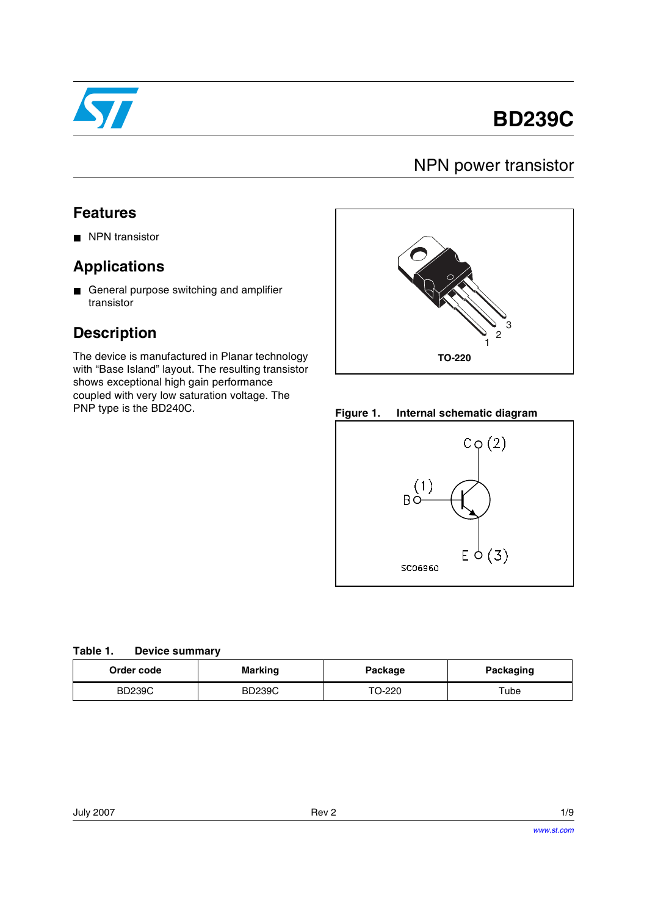

# **BD239C**

## NPN power transistor

#### **Features**

■ NPN transistor

#### **Applications**

■ General purpose switching and amplifier transistor

### **Description**

The device is manufactured in Planar technology with "Base Island" layout. The resulting transistor shows exceptional high gain performance coupled with very low saturation voltage. The PNP type is the BD240C. **Figure 1. Internal schematic diagram**





| Order code    | <b>Marking</b> | Package | Packaging |
|---------------|----------------|---------|-----------|
| <b>BD239C</b> | <b>BD239C</b>  | TO-220  | ™ube      |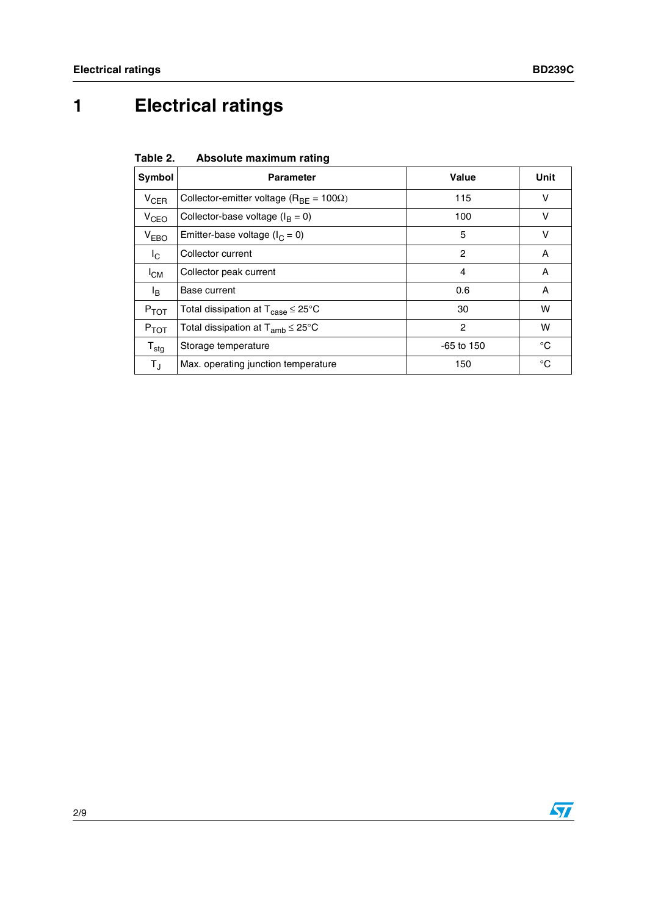# **1 Electrical ratings**

**Table 2. Absolute maximum rating**

| Symbol           | <b>Parameter</b>                                                | Value          | Unit |
|------------------|-----------------------------------------------------------------|----------------|------|
| $V_{CER}$        | Collector-emitter voltage ( $R_{BE}$ = 100 $\Omega$ )           | 115            | v    |
| V <sub>CEO</sub> | Collector-base voltage $(I_B = 0)$                              | 100            | v    |
| $V_{EBO}$        | Emitter-base voltage ( $I_C = 0$ )                              | 5              | v    |
| $I_{\rm C}$      | Collector current                                               | $\overline{2}$ | A    |
| $I_{CM}$         | Collector peak current                                          | 4              | A    |
| lв.              | Base current                                                    | 0.6            | A    |
| $P_{TOT}$        | Total dissipation at $T_{\text{case}} \leq 25^{\circ} \text{C}$ | 30             | w    |
| $P_{TOT}$        | Total dissipation at $T_{amb} \leq 25^{\circ}C$                 | $\overline{2}$ | w    |
| ${\tt T_{stg}}$  | Storage temperature                                             | $-65$ to 150   | °C   |
| $T_{\rm J}$      | Max. operating junction temperature                             | 150            | °C   |

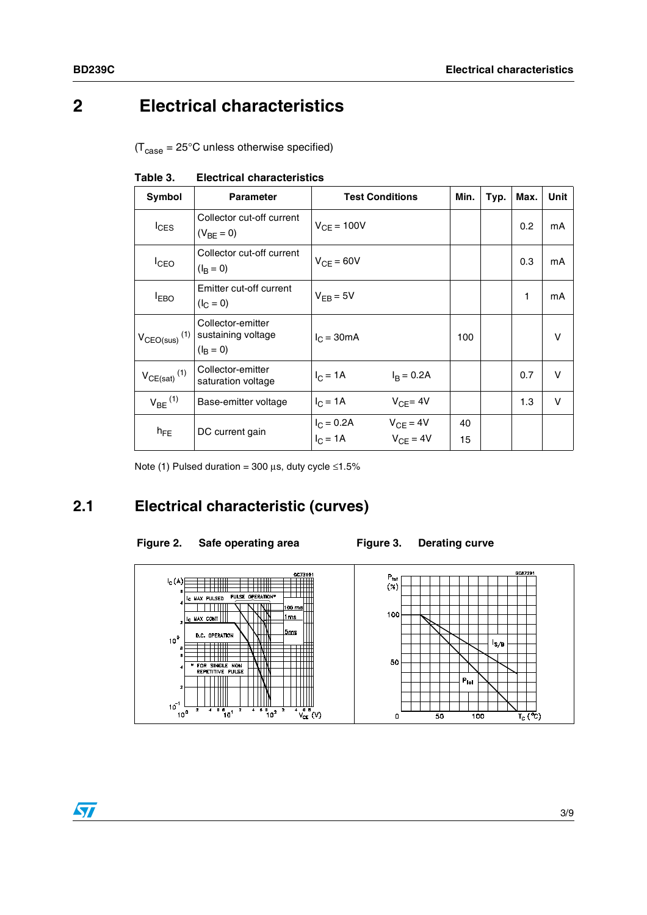## **2 Electrical characteristics**

 $(T_{\text{case}} = 25^{\circ} \text{C}$  unless otherwise specified)

| Symbol                        | <b>Parameter</b>                                       | <b>Test Conditions</b>     |                                | Min.     | Typ. | Max. | Unit |
|-------------------------------|--------------------------------------------------------|----------------------------|--------------------------------|----------|------|------|------|
| $I_{CES}$                     | Collector cut-off current<br>$(V_{BF} = 0)$            | $V_{CF} = 100V$            |                                |          |      | 0.2  | mA   |
| <b>I</b> CEO                  | Collector cut-off current<br>$(I_B = 0)$               | $V_{CF} = 60V$             |                                |          |      | 0.3  | mA   |
| <b>EBO</b>                    | Emitter cut-off current<br>$(I_C = 0)$                 | $V_{FB} = 5V$              |                                |          |      | 1    | mA   |
| $V_{CEO(sus)}$ <sup>(1)</sup> | Collector-emitter<br>sustaining voltage<br>$(I_B = 0)$ | $IC = 30mA$                |                                | 100      |      |      | v    |
| $V_{CE(sat)}$ <sup>(1)</sup>  | Collector-emitter<br>saturation voltage                | $I_C = 1A$                 | $I_R = 0.2A$                   |          |      | 0.7  | v    |
| $V_{BE}$ <sup>(1)</sup>       | Base-emitter voltage                                   | $I_{C} = 1A$               | $V_{CF} = 4V$                  |          |      | 1.3  | v    |
| $h_{FE}$                      | DC current gain                                        | $I_C = 0.2A$<br>$I_C = 1A$ | $V_{CE} = 4V$<br>$V_{CF} = 4V$ | 40<br>15 |      |      |      |

**Table 3. Electrical characteristics**

Note (1) Pulsed duration = 300  $\mu$ s, duty cycle ≤1.5%

#### **2.1 Electrical characteristic (curves)**

#### Figure 2. Safe operating area Figure 3. Derating curve



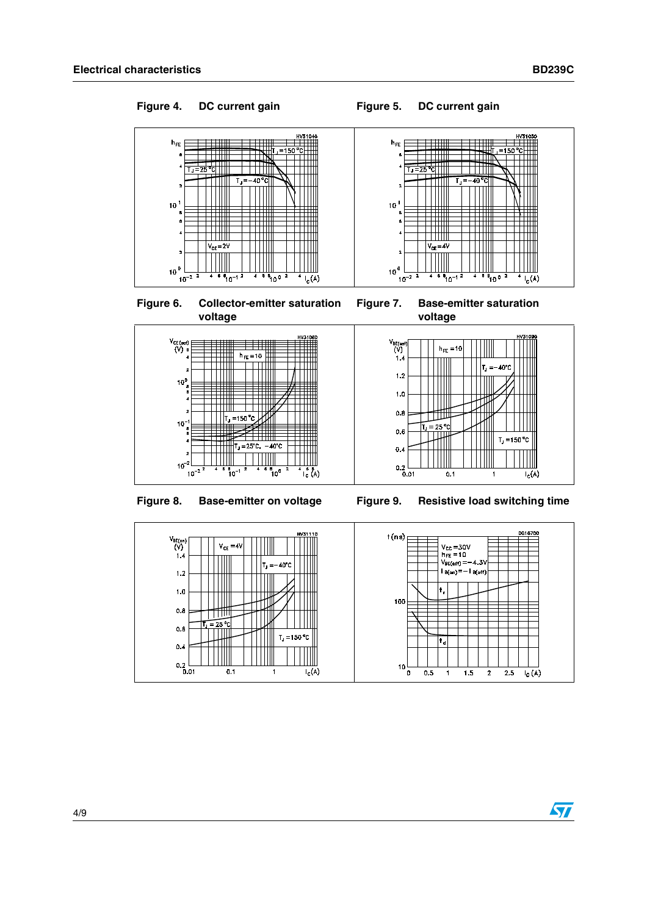### Figure 4. DC current gain **Figure 5. DC current gain**







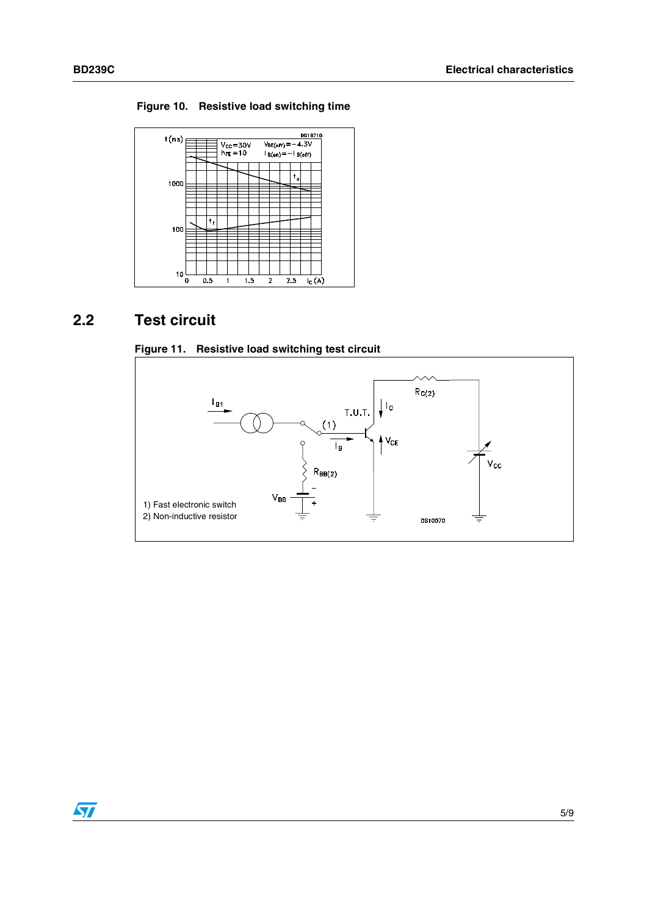**Figure 10. Resistive load switching time**



#### **2.2 Test circuit**





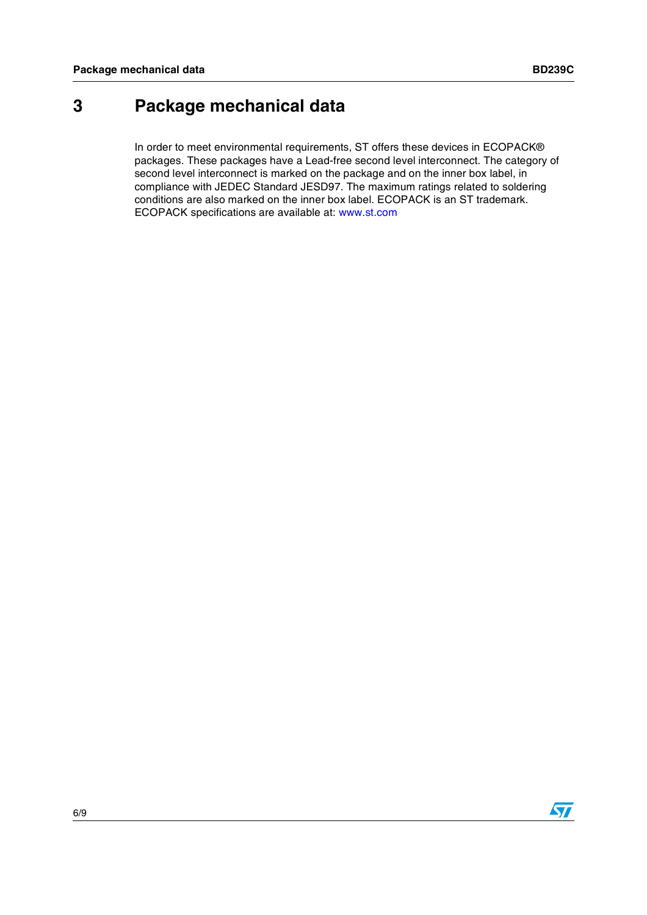## **3 Package mechanical data**

In order to meet environmental requirements, ST offers these devices in ECOPACK® packages. These packages have a Lead-free second level interconnect. The category of second level interconnect is marked on the package and on the inner box label, in compliance with JEDEC Standard JESD97. The maximum ratings related to soldering conditions are also marked on the inner box label. ECOPACK is an ST trademark. ECOPACK specifications are available at: www.st.com

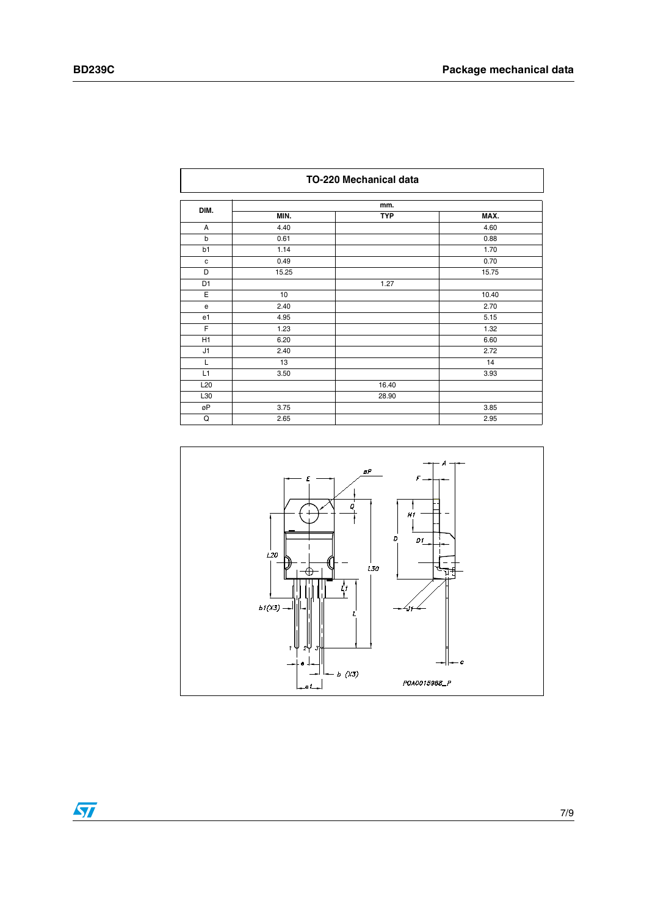|                 | TO-220 Mechanical data |            |       |
|-----------------|------------------------|------------|-------|
| DIM.            |                        | mm.        |       |
|                 | MIN.                   | <b>TYP</b> | MAX.  |
| A               | 4.40                   |            | 4.60  |
| b               | 0.61                   |            | 0.88  |
| b1              | 1.14                   |            | 1.70  |
| $\mathtt{C}$    | 0.49                   |            | 0.70  |
| D               | 15.25                  |            | 15.75 |
| D1              |                        | 1.27       |       |
| Ε               | 10                     |            | 10.40 |
| e               | 2.40                   |            | 2.70  |
| e1              | 4.95                   |            | 5.15  |
| F               | 1.23                   |            | 1.32  |
| H1              | 6.20                   |            | 6.60  |
| J1              | 2.40                   |            | 2.72  |
| L               | 13                     |            | 14    |
| L1              | 3.50                   |            | 3.93  |
| L <sub>20</sub> |                        | 16.40      |       |
| L30             |                        | 28.90      |       |
| øΡ              | 3.75                   |            | 3.85  |
| Q               | 2.65                   |            | 2.95  |



 $\sqrt{2}$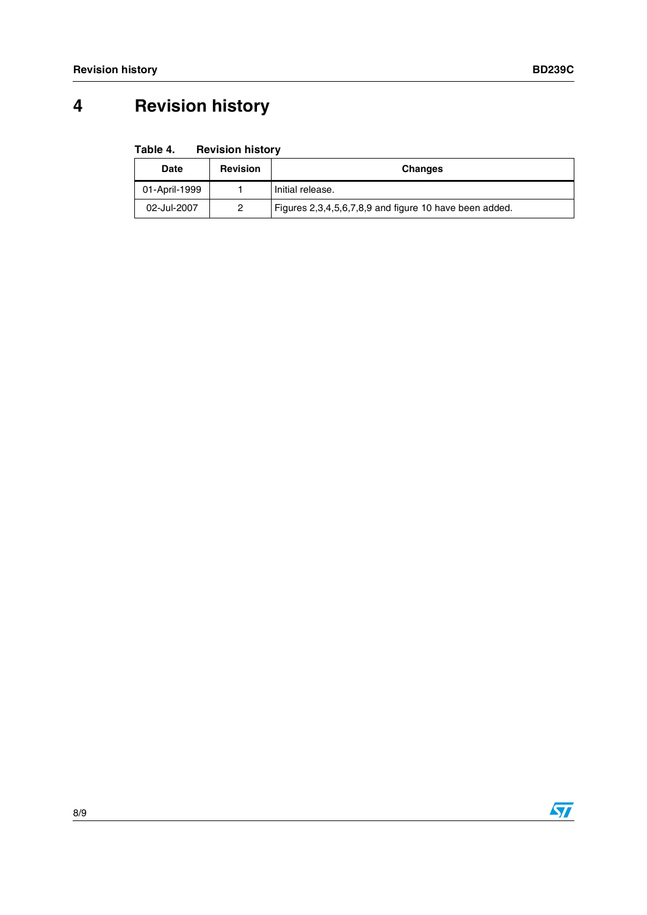## **4 Revision history**

| Table 4.<br><b>Revision history</b> |  |
|-------------------------------------|--|
|-------------------------------------|--|

| <b>Date</b>   | <b>Revision</b> | <b>Changes</b>                                         |
|---------------|-----------------|--------------------------------------------------------|
| 01-April-1999 |                 | Initial release.                                       |
| 02-Jul-2007   |                 | Figures 2,3,4,5,6,7,8,9 and figure 10 have been added. |